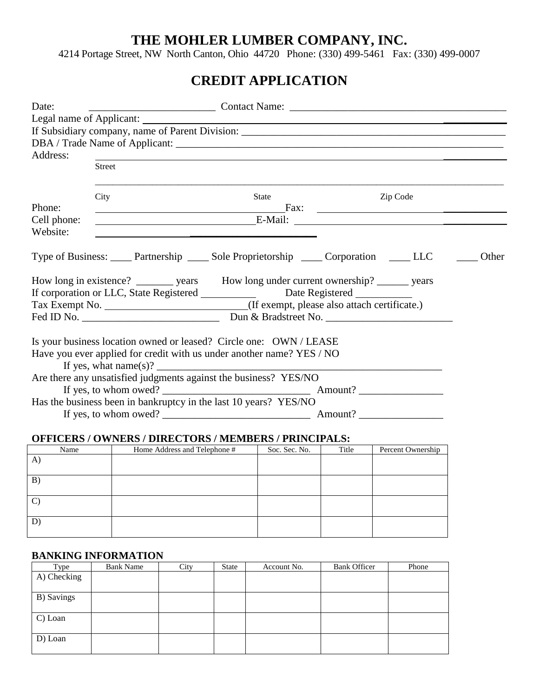## **THE MOHLER LUMBER COMPANY, INC.**

4214 Portage Street, NW North Canton, Ohio 44720 Phone: (330) 499-5461 Fax: (330) 499-0007

# **CREDIT APPLICATION**

| Date:       |                                                                                                                                                                                                                                |              |  |          |       |  |
|-------------|--------------------------------------------------------------------------------------------------------------------------------------------------------------------------------------------------------------------------------|--------------|--|----------|-------|--|
|             |                                                                                                                                                                                                                                |              |  |          |       |  |
|             |                                                                                                                                                                                                                                |              |  |          |       |  |
|             |                                                                                                                                                                                                                                |              |  |          |       |  |
| Address:    |                                                                                                                                                                                                                                |              |  |          |       |  |
|             | <b>Street</b>                                                                                                                                                                                                                  |              |  |          |       |  |
|             | City                                                                                                                                                                                                                           | <b>State</b> |  | Zip Code |       |  |
| Phone:      | <u>Fax: Fax: Fax: Feasure Property (Figure 2014)</u>                                                                                                                                                                           |              |  |          |       |  |
| Cell phone: | E-Mail: E-Mail: E-Mail: 2008. [1] The Contract of the Contract of the Contract of the Contract of the Contract of the Contract of the Contract of the Contract of the Contract of the Contract of the Contract of the Contract |              |  |          |       |  |
| Website:    | <u> 1980 - Johann Barn, amerikan personal (h. 1980).</u>                                                                                                                                                                       |              |  |          |       |  |
|             | Type of Business: _____ Partnership _____ Sole Proprietorship _____ Corporation _____ LLC                                                                                                                                      |              |  |          | Other |  |
|             | How long in existence? _________ years How long under current ownership? _______ years                                                                                                                                         |              |  |          |       |  |
|             | If corporation or LLC, State Registered _______________ Date Registered ________                                                                                                                                               |              |  |          |       |  |
|             | Tax Exempt No. ______________________________(If exempt, please also attach certificate.)                                                                                                                                      |              |  |          |       |  |
|             |                                                                                                                                                                                                                                |              |  |          |       |  |
|             |                                                                                                                                                                                                                                |              |  |          |       |  |
|             | Is your business location owned or leased? Circle one: OWN / LEASE                                                                                                                                                             |              |  |          |       |  |
|             | Have you ever applied for credit with us under another name? YES / NO                                                                                                                                                          |              |  |          |       |  |
|             | If yes, what $name(s)?$                                                                                                                                                                                                        |              |  |          |       |  |
|             | Are there any unsatisfied judgments against the business? YES/NO                                                                                                                                                               |              |  |          |       |  |
|             |                                                                                                                                                                                                                                |              |  |          |       |  |
|             | Has the business been in bankruptcy in the last 10 years? YES/NO                                                                                                                                                               |              |  |          |       |  |
|             |                                                                                                                                                                                                                                |              |  |          |       |  |

#### **OFFICERS / OWNERS / DIRECTORS / MEMBERS / PRINCIPALS:**

| Name         | Home Address and Telephone # | Soc. Sec. No. | Title | Percent Ownership |
|--------------|------------------------------|---------------|-------|-------------------|
| $\mathbf{A}$ |                              |               |       |                   |
| B)           |                              |               |       |                   |
| $\mathbf{C}$ |                              |               |       |                   |
| D            |                              |               |       |                   |

#### **BANKING INFORMATION**

| Type        | <b>Bank Name</b> | City | State | Account No. | <b>Bank Officer</b> | Phone |
|-------------|------------------|------|-------|-------------|---------------------|-------|
| A) Checking |                  |      |       |             |                     |       |
|             |                  |      |       |             |                     |       |
| B) Savings  |                  |      |       |             |                     |       |
|             |                  |      |       |             |                     |       |
| C) Loan     |                  |      |       |             |                     |       |
|             |                  |      |       |             |                     |       |
| D) Loan     |                  |      |       |             |                     |       |
|             |                  |      |       |             |                     |       |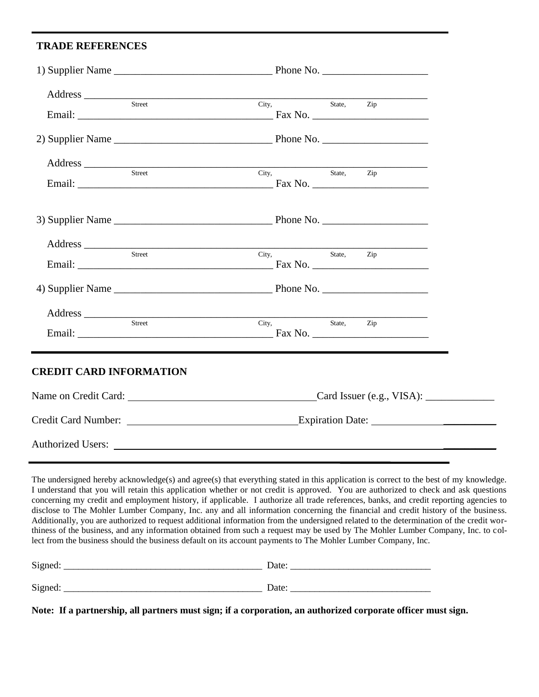### **TRADE REFERENCES**

j,

| Address City, State, Zip        |                                                                          |  |  |
|---------------------------------|--------------------------------------------------------------------------|--|--|
|                                 |                                                                          |  |  |
|                                 |                                                                          |  |  |
| Address Street City, State, Zip |                                                                          |  |  |
|                                 |                                                                          |  |  |
|                                 |                                                                          |  |  |
| Address Street City, State, Z   |                                                                          |  |  |
|                                 | State, Zip                                                               |  |  |
|                                 |                                                                          |  |  |
|                                 |                                                                          |  |  |
| Street                          | State, Zip<br>City,                                                      |  |  |
| <b>CREDIT CARD INFORMATION</b>  |                                                                          |  |  |
|                                 | Name on Credit Card: Card Issuer (e.g., VISA): Card Issuer (e.g., VISA): |  |  |
|                                 |                                                                          |  |  |
|                                 |                                                                          |  |  |

I understand that you will retain this application whether or not credit is approved. You are authorized to check and ask questions concerning my credit and employment history, if applicable. I authorize all trade references, banks, and credit reporting agencies to disclose to The Mohler Lumber Company, Inc. any and all information concerning the financial and credit history of the business. Additionally, you are authorized to request additional information from the undersigned related to the determination of the credit worthiness of the business, and any information obtained from such a request may be used by The Mohler Lumber Company, Inc. to collect from the business should the business default on its account payments to The Mohler Lumber Company, Inc.

| Signed: | Date: |
|---------|-------|
|         |       |
| Signed: | Date: |

**Note: If a partnership, all partners must sign; if a corporation, an authorized corporate officer must sign.**